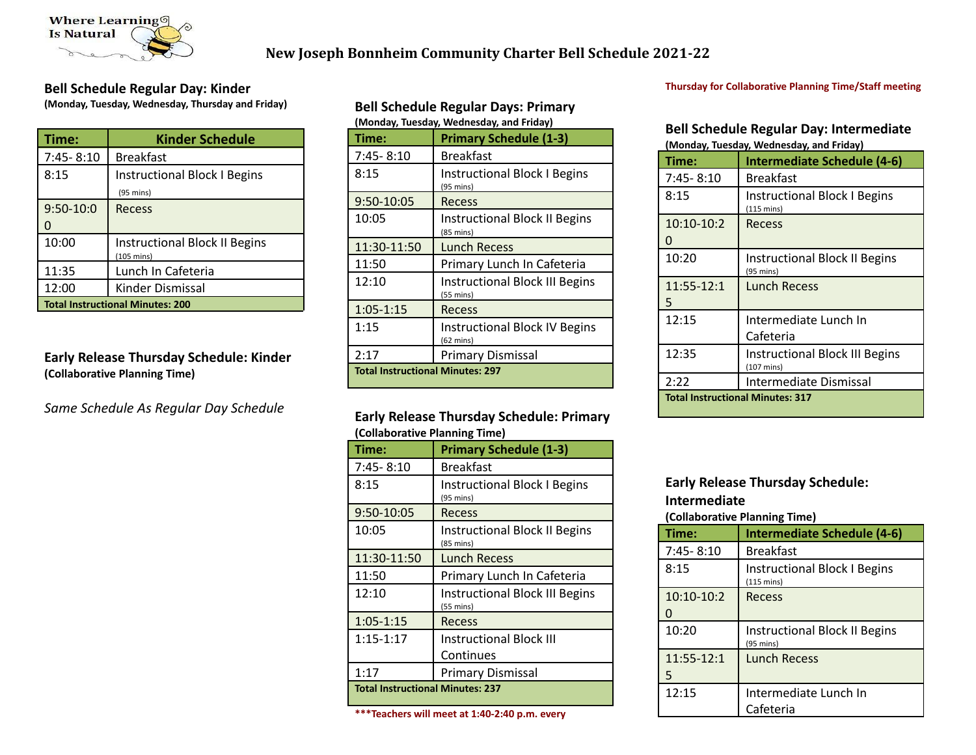

# **New Joseph Bonnheim Community Charter Bell Schedule 2021-22**

### **Bell Schedule Regular Day: Kinder**

**(Monday, Tuesday, Wednesday, Thursday and Friday)**

| Time:                                   | <b>Kinder Schedule</b>                                       |
|-----------------------------------------|--------------------------------------------------------------|
| 7:45-8:10                               | <b>Breakfast</b>                                             |
| 8:15                                    | <b>Instructional Block I Begins</b><br>$(95 \text{ mins})$   |
| $9:50-10:0$                             | Recess                                                       |
| 10:00                                   | <b>Instructional Block II Begins</b><br>$(105 \text{ mins})$ |
| 11:35                                   | Lunch In Cafeteria                                           |
| 12:00                                   | Kinder Dismissal                                             |
| <b>Total Instructional Minutes: 200</b> |                                                              |

## **Early Release Thursday Schedule: Kinder (Collaborative Planning Time)**

*Same Schedule As Regular Day Schedule*

### **Bell Schedule Regular Days: Primary (Monday, Tuesday, Wednesday, and Friday)**

| Time:                                   | <b>Primary Schedule (1-3)</b>                               |
|-----------------------------------------|-------------------------------------------------------------|
| 7:45-8:10                               | <b>Breakfast</b>                                            |
| 8:15                                    | <b>Instructional Block I Begins</b><br>(95 mins)            |
| 9:50-10:05                              | Recess                                                      |
| 10:05                                   | <b>Instructional Block II Begins</b><br>$(85 \text{ mins})$ |
| 11:30-11:50                             | <b>Lunch Recess</b>                                         |
| 11:50                                   | Primary Lunch In Cafeteria                                  |
| 12:10                                   | <b>Instructional Block III Begins</b><br>(55 mins)          |
| $1:05 - 1:15$                           | Recess                                                      |
| 1:15                                    | <b>Instructional Block IV Begins</b><br>(62 mins)           |
| 2:17                                    | <b>Primary Dismissal</b>                                    |
| <b>Total Instructional Minutes: 297</b> |                                                             |

### **Early Release Thursday Schedule: Primary (Collaborative Planning Time)**

| Time:                                   | <b>Primary Schedule (1-3)</b>                                |
|-----------------------------------------|--------------------------------------------------------------|
| $7:45 - 8:10$                           | <b>Breakfast</b>                                             |
| 8:15                                    | <b>Instructional Block I Begins</b><br>$(95 \text{ mins})$   |
| 9:50-10:05                              | Recess                                                       |
| 10:05                                   | <b>Instructional Block II Begins</b><br>$(85 \text{ mins})$  |
| 11:30-11:50                             | Lunch Recess                                                 |
| 11:50                                   | Primary Lunch In Cafeteria                                   |
| 12:10                                   | <b>Instructional Block III Begins</b><br>$(55 \text{ mins})$ |
| $1:05 - 1:15$                           | Recess                                                       |
| $1:15-1:17$                             | <b>Instructional Block III</b>                               |
|                                         | Continues                                                    |
| 1:17                                    | <b>Primary Dismissal</b>                                     |
| <b>Total Instructional Minutes: 237</b> |                                                              |

#### **\*\*\*Teachers will meet at 1:40-2:40 p.m. every**

### **Thursday for Collaborative Planning Time/Staff meeting**

### **Bell Schedule Regular Day: Intermediate (Monday, Tuesday, Wednesday, and Friday)**

| (ivionuay, Tuesuay, vveunesuay, anu Friuay) |                                                               |
|---------------------------------------------|---------------------------------------------------------------|
| Time:                                       | <b>Intermediate Schedule (4-6)</b>                            |
| $7:45 - 8:10$                               | <b>Breakfast</b>                                              |
| 8:15                                        | <b>Instructional Block I Begins</b><br>$(115 \text{ mins})$   |
| $10:10-10:2$<br>0                           | Recess                                                        |
| 10:20                                       | <b>Instructional Block II Begins</b><br>$(95 \text{ mins})$   |
| 11:55-12:1<br>5                             | Lunch Recess                                                  |
| 12:15                                       | Intermediate Lunch In                                         |
|                                             | Cafeteria                                                     |
| 12:35                                       | <b>Instructional Block III Begins</b><br>$(107 \text{ mins})$ |
| 2:22                                        | Intermediate Dismissal                                        |
| <b>Total Instructional Minutes: 317</b>     |                                                               |

## **Early Release Thursday Schedule: Intermediate**

**(Collaborative Planning Time)**

| Time:           | <b>Intermediate Schedule (4-6)</b>                          |
|-----------------|-------------------------------------------------------------|
| $7:45 - 8:10$   | <b>Breakfast</b>                                            |
| 8:15            | <b>Instructional Block I Begins</b><br>$(115 \text{ mins})$ |
| 10:10-10:2<br>0 | <b>Recess</b>                                               |
| 10:20           | Instructional Block II Begins<br>$(95 \text{ mins})$        |
| 11:55-12:1<br>5 | <b>Lunch Recess</b>                                         |
| 12:15           | Intermediate Lunch In<br>Cafeteria                          |